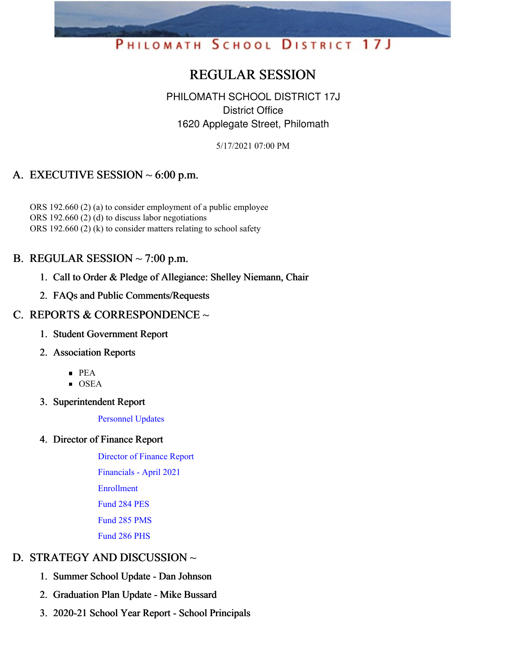# PHILOMATH SCHOOL DISTRICT 17J

# REGULAR SESSION

PHILOMATH SCHOOL DISTRICT 17J District Office 1620 Applegate Street, Philomath

5/17/2021 07:00 PM

# A. EXECUTIVE SESSION  $\sim$  6:00 p.m.

ORS 192.660 (2) (a) to consider employment of a public employee ORS 192.660 (2) (d) to discuss labor negotiations ORS 192.660 (2) (k) to consider matters relating to school safety

### B. REGULAR SESSION  $\sim$  7:00 p.m.

- 1. Call to Order & Pledge of Allegiance: Shelley Niemann, Chair
- 2. FAQs and Public Comments/Requests

# C. REPORTS & CORRESPONDENCE  $\sim$

- 1. Student Government Report
- 2. Association Reports
	- $PEA$
	- **OSEA**
- 3. Superintendent Report

#### [Personnel](https://app.eduportal.com/documents/view/793979) Updates

4. Director of Finance Report

[Director](https://app.eduportal.com/documents/view/793931) of Finance Report [Financials](https://app.eduportal.com/documents/view/793938) - April 2021 [Enrollment](https://app.eduportal.com/documents/view/793932) [Fund](https://app.eduportal.com/documents/view/793935) 284 PES [Fund](https://app.eduportal.com/documents/view/793933) 285 PMS [Fund](https://app.eduportal.com/documents/view/793934) 286 PHS

# D. STRATEGY AND DISCUSSION  $\sim$

- 1. Summer School Update Dan Johnson
- 2. Graduation Plan Update Mike Bussard
- 3. 2020-21 School Year Report School Principals